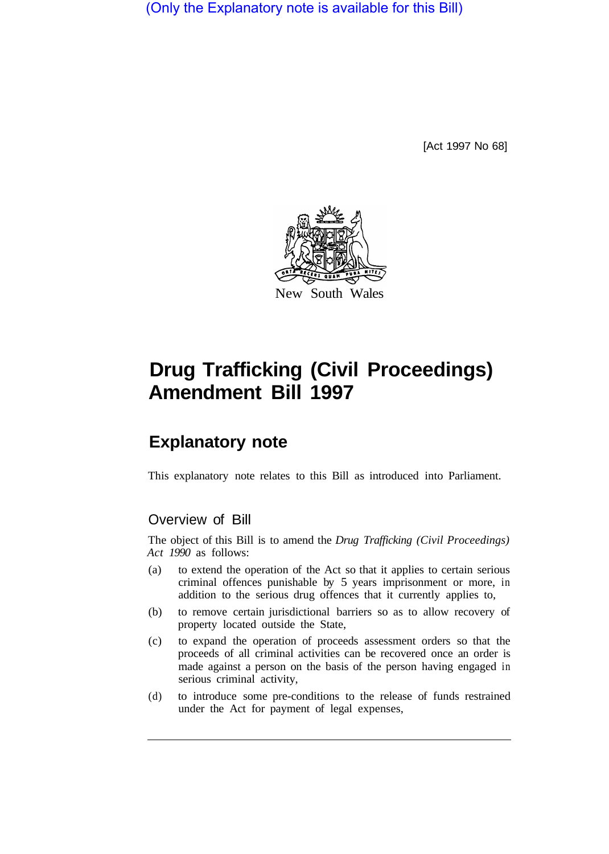(Only the Explanatory note is available for this Bill)

[Act 1997 No 68]



# **Drug Trafficking (Civil Proceedings) Amendment Bill 1997**

## **Explanatory note**

This explanatory note relates to this Bill as introduced into Parliament.

### Overview of Bill

The object of this Bill is to amend the *Drug Trafficking (Civil Proceedings) Act 1990* as follows:

- (a) to extend the operation of the Act so that it applies to certain serious criminal offences punishable by 5 years imprisonment or more, in addition to the serious drug offences that it currently applies to,
- (b) to remove certain jurisdictional barriers so as to allow recovery of property located outside the State,
- (c) to expand the operation of proceeds assessment orders so that the proceeds of all criminal activities can be recovered once an order is made against a person on the basis of the person having engaged in serious criminal activity,
- (d) to introduce some pre-conditions to the release of funds restrained under the Act for payment of legal expenses,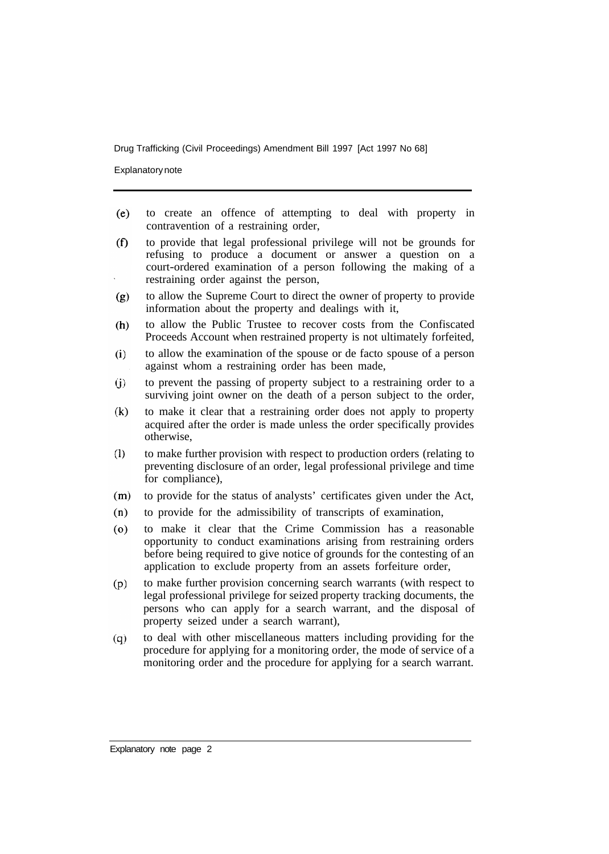Explanatory note

- to create an offence of attempting to deal with property in  $(e)$ contravention of a restraining order,
- to provide that legal professional privilege will not be grounds for  $(f)$ refusing to produce a document or answer a question on a court-ordered examination of a person following the making of a restraining order against the person,
- to allow the Supreme Court to direct the owner of property to provide  $(g)$ information about the property and dealings with it,
- $(h)$ to allow the Public Trustee to recover costs from the Confiscated Proceeds Account when restrained property is not ultimately forfeited,
- to allow the examination of the spouse or de facto spouse of a person  $(i)$ against whom a restraining order has been made,
- to prevent the passing of property subject to a restraining order to a  $(i)$ surviving joint owner on the death of a person subject to the order,
- to make it clear that a restraining order does not apply to property  $(k)$ acquired after the order is made unless the order specifically provides otherwise,
- $(1)$ to make further provision with respect to production orders (relating to preventing disclosure of an order, legal professional privilege and time for compliance),
- $(m)$ to provide for the status of analysts' certificates given under the Act,
- to provide for the admissibility of transcripts of examination,  $(n)$
- to make it clear that the Crime Commission has a reasonable  $(0)$ opportunity to conduct examinations arising from restraining orders before being required to give notice of grounds for the contesting of an application to exclude property from an assets forfeiture order,
- to make further provision concerning search warrants (with respect to  $(p)$ legal professional privilege for seized property tracking documents, the persons who can apply for a search warrant, and the disposal of property seized under a search warrant),
- to deal with other miscellaneous matters including providing for the  $(q)$ procedure for applying for a monitoring order, the mode of service of a monitoring order and the procedure for applying for a search warrant.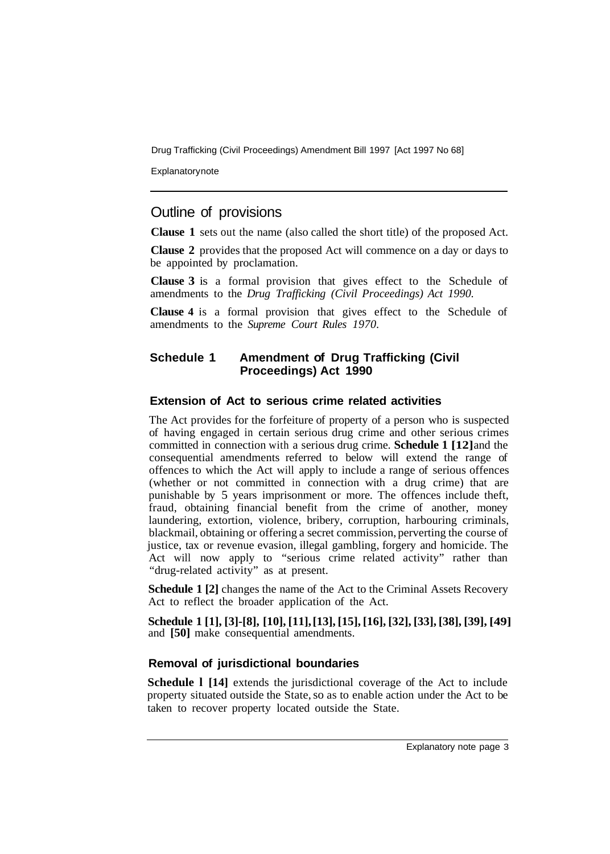**Explanatory note** 

## Outline of provisions

**Clause 1** sets out the name (also called the short title) of the proposed Act.

**Clause 2** provides that the proposed Act will commence on a day or days to be appointed by proclamation.

**Clause 3** is a formal provision that gives effect to the Schedule of amendments to the *Drug Trafficking (Civil Proceedings) Act 1990.* 

**Clause 4** is a formal provision that gives effect to the Schedule of amendments to the *Supreme Court Rules 1970.* 

#### **Schedule 1 Amendment of Drug Trafficking (Civil Proceedings) Act 1990**

#### **Extension of Act to serious crime related activities**

The Act provides for the forfeiture of property of a person who is suspected of having engaged in certain serious drug crime and other serious crimes committed in connection with a serious drug crime. **Schedule 1 [12]** and the consequential amendments referred to below will extend the range of offences to which the Act will apply to include a range of serious offences (whether or not committed in connection with a drug crime) that are punishable by 5 years imprisonment or more. The offences include theft, fraud, obtaining financial benefit from the crime of another, money laundering, extortion, violence, bribery, corruption, harbouring criminals, blackmail, obtaining or offering a secret commission, perverting the course of justice, tax or revenue evasion, illegal gambling, forgery and homicide. The Act will now apply to "serious crime related activity" rather than "drug-related activity" as at present.

**Schedule 1 [2]** changes the name of the Act to the Criminal Assets Recovery Act to reflect the broader application of the Act.

**Schedule 1 [1], [3]-[8], [10], [11], [13], [15], [16], [32], [33], [38], [39], [49]**  and **[50]** make consequential amendments.

#### **Removal of jurisdictional boundaries**

**Schedule l [14]** extends the jurisdictional coverage of the Act to include property situated outside the State, so as to enable action under the Act to be taken to recover property located outside the State.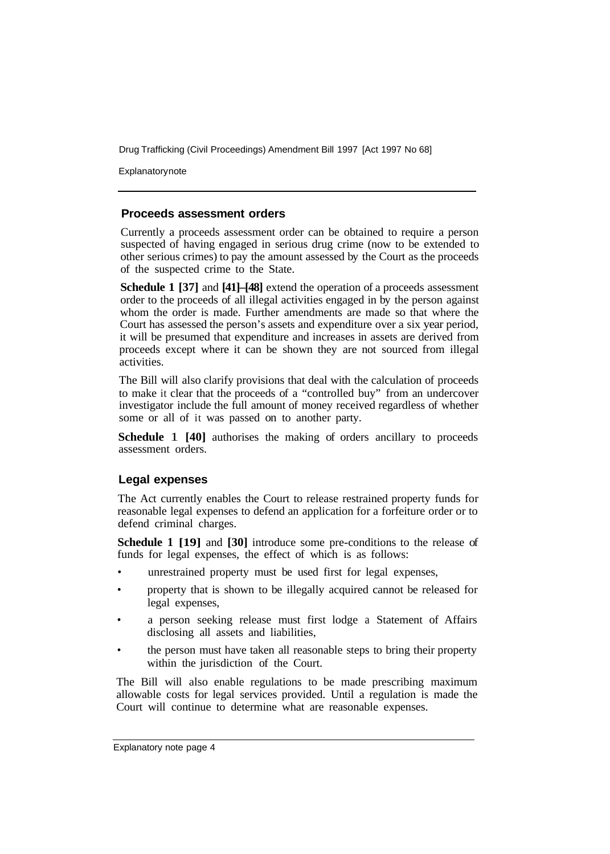Explanatorynote

#### **Proceeds assessment orders**

Currently a proceeds assessment order can be obtained to require a person suspected of having engaged in serious drug crime (now to be extended to other serious crimes) to pay the amount assessed by the Court as the proceeds of the suspected crime to the State.

**Schedule 1 [37]** and **[41]–[48]** extend the operation of a proceeds assessment order to the proceeds of all illegal activities engaged in by the person against whom the order is made. Further amendments are made so that where the Court has assessed the person's assets and expenditure over a six year period, it will be presumed that expenditure and increases in assets are derived from proceeds except where it can be shown they are not sourced from illegal activities.

The Bill will also clarify provisions that deal with the calculation of proceeds to make it clear that the proceeds of a "controlled buy" from an undercover investigator include the full amount of money received regardless of whether some or all of it was passed on to another party.

**Schedule** 1 **[40]** authorises the making of orders ancillary to proceeds assessment orders.

#### **Legal expenses**

The Act currently enables the Court to release restrained property funds for reasonable legal expenses to defend an application for a forfeiture order or to defend criminal charges.

**Schedule 1 [19]** and **[30]** introduce some pre-conditions to the release of funds for legal expenses, the effect of which is as follows:

- unrestrained property must be used first for legal expenses,
- property that is shown to be illegally acquired cannot be released for legal expenses,
- a person seeking release must first lodge a Statement of Affairs disclosing all assets and liabilities,
- the person must have taken all reasonable steps to bring their property within the jurisdiction of the Court.

The Bill will also enable regulations to be made prescribing maximum allowable costs for legal services provided. Until a regulation is made the Court will continue to determine what are reasonable expenses.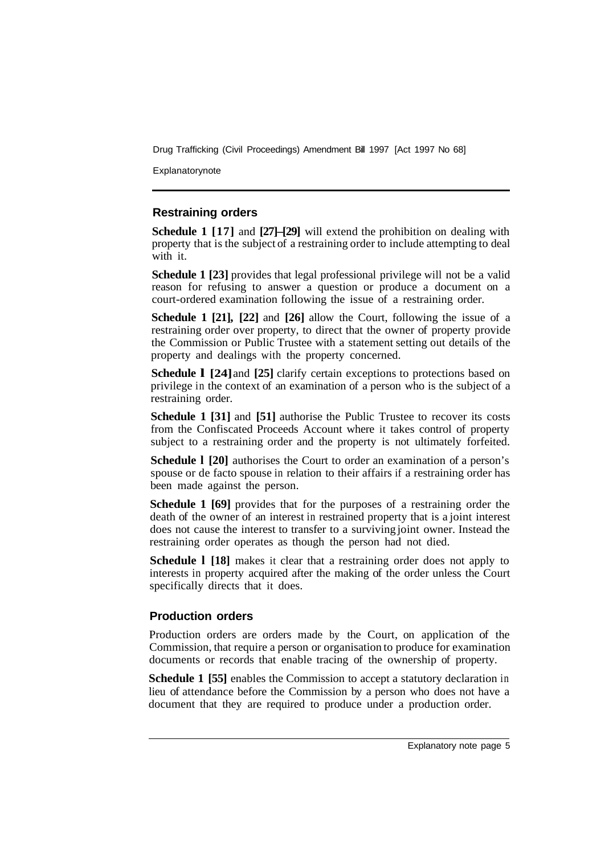Explanatorynote

#### **Restraining orders**

**Schedule 1 [17]** and **[27]–[29]** will extend the prohibition on dealing with property that is the subject of a restraining order to include attempting to deal with it.

**Schedule 1 [23]** provides that legal professional privilege will not be a valid reason for refusing to answer a question or produce a document on a court-ordered examination following the issue of a restraining order.

**Schedule 1 [21], [22]** and **[26]** allow the Court, following the issue of a restraining order over property, to direct that the owner of property provide the Commission or Public Trustee with a statement setting out details of the property and dealings with the property concerned.

**Schedule 1 [24] and [25] clarify certain exceptions to protections based on** privilege in the context of an examination of a person who is the subject of a restraining order.

**Schedule 1 [31]** and **[51]** authorise the Public Trustee to recover its costs from the Confiscated Proceeds Account where it takes control of property subject to a restraining order and the property is not ultimately forfeited.

**Schedule l [20]** authorises the Court to order an examination of a person's spouse or de facto spouse in relation to their affairs if a restraining order has been made against the person.

**Schedule 1 [69]** provides that for the purposes of a restraining order the death of the owner of an interest in restrained property that is a joint interest does not cause the interest to transfer to a surviving joint owner. Instead the restraining order operates as though the person had not died.

**Schedule I** [18] makes it clear that a restraining order does not apply to interests in property acquired after the making of the order unless the Court specifically directs that it does.

#### **Production orders**

Production orders are orders made by the Court, on application of the Commission, that require a person or organisation to produce for examination documents or records that enable tracing of the ownership of property.

**Schedule 1 [55]** enables the Commission to accept a statutory declaration in lieu of attendance before the Commission by a person who does not have a document that they are required to produce under a production order.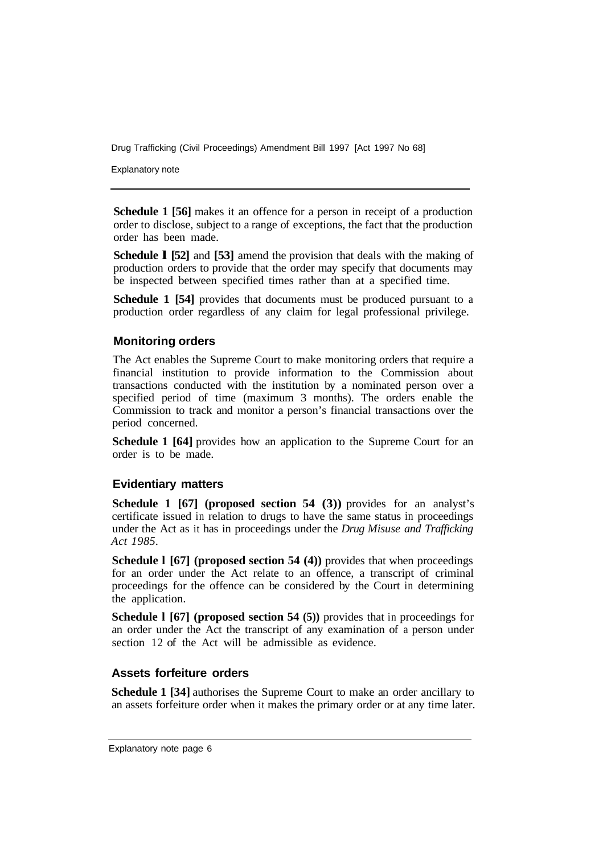Explanatory note

**Schedule 1 [56]** makes it an offence for a person in receipt of a production order to disclose, subject to a range of exceptions, the fact that the production order has been made.

**Schedule l [52]** and **[53]** amend the provision that deals with the making of production orders to provide that the order may specify that documents may be inspected between specified times rather than at a specified time.

**Schedule 1 [54]** provides that documents must be produced pursuant to a production order regardless of any claim for legal professional privilege.

#### **Monitoring orders**

The Act enables the Supreme Court to make monitoring orders that require a financial institution to provide information to the Commission about transactions conducted with the institution by a nominated person over a specified period of time (maximum 3 months). The orders enable the Commission to track and monitor a person's financial transactions over the period concerned.

**Schedule 1 [64]** provides how an application to the Supreme Court for an order is to be made.

#### **Evidentiary matters**

**Schedule 1 [67] (proposed section 54 (3))** provides for an analyst's certificate issued in relation to drugs to have the same status in proceedings under the Act as it has in proceedings under the *Drug Misuse and Trafficking Act 1985.* 

**Schedule 1 [67] (proposed section 54 (4))** provides that when proceedings for an order under the Act relate to an offence, a transcript of criminal proceedings for the offence can be considered by the Court in determining the application.

**Schedule 1 [67] (proposed section 54 (5))** provides that in proceedings for an order under the Act the transcript of any examination of a person under section 12 of the Act will be admissible as evidence.

#### **Assets forfeiture orders**

**Schedule 1 [34]** authorises the Supreme Court to make an order ancillary to an assets forfeiture order when it makes the primary order or at any time later.